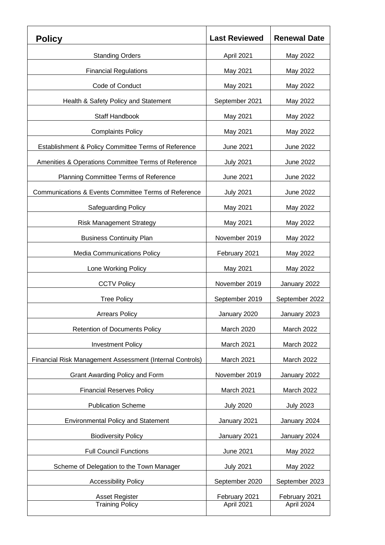| <b>Policy</b>                                            | <b>Last Reviewed</b> | <b>Renewal Date</b> |
|----------------------------------------------------------|----------------------|---------------------|
| <b>Standing Orders</b>                                   | April 2021           | May 2022            |
| <b>Financial Regulations</b>                             | May 2021             | May 2022            |
| Code of Conduct                                          | May 2021             | May 2022            |
| Health & Safety Policy and Statement                     | September 2021       | May 2022            |
| <b>Staff Handbook</b>                                    | May 2021             | May 2022            |
| <b>Complaints Policy</b>                                 | May 2021             | May 2022            |
| Establishment & Policy Committee Terms of Reference      | <b>June 2021</b>     | June 2022           |
| Amenities & Operations Committee Terms of Reference      | <b>July 2021</b>     | June 2022           |
| Planning Committee Terms of Reference                    | June 2021            | June 2022           |
| Communications & Events Committee Terms of Reference     | <b>July 2021</b>     | June 2022           |
| <b>Safeguarding Policy</b>                               | May 2021             | May 2022            |
| <b>Risk Management Strategy</b>                          | May 2021             | May 2022            |
| <b>Business Continuity Plan</b>                          | November 2019        | May 2022            |
| <b>Media Communications Policy</b>                       | February 2021        | May 2022            |
| Lone Working Policy                                      | May 2021             | May 2022            |
| <b>CCTV Policy</b>                                       | November 2019        | January 2022        |
| <b>Tree Policy</b>                                       | September 2019       | September 2022      |
| <b>Arrears Policy</b>                                    | January 2020         | January 2023        |
| <b>Retention of Documents Policy</b>                     | March 2020           | March 2022          |
| <b>Investment Policy</b>                                 | March 2021           | March 2022          |
| Financial Risk Management Assessment (Internal Controls) | March 2021           | March 2022          |
| Grant Awarding Policy and Form                           | November 2019        | January 2022        |
| <b>Financial Reserves Policy</b>                         | March 2021           | March 2022          |
| <b>Publication Scheme</b>                                | <b>July 2020</b>     | <b>July 2023</b>    |
| <b>Environmental Policy and Statement</b>                | January 2021         | January 2024        |
| <b>Biodiversity Policy</b>                               | January 2021         | January 2024        |
| <b>Full Council Functions</b>                            | <b>June 2021</b>     | May 2022            |
| Scheme of Delegation to the Town Manager                 | <b>July 2021</b>     | May 2022            |
| <b>Accessibility Policy</b>                              | September 2020       | September 2023      |
| <b>Asset Register</b>                                    | February 2021        | February 2021       |
| <b>Training Policy</b>                                   | April 2021           | April 2024          |